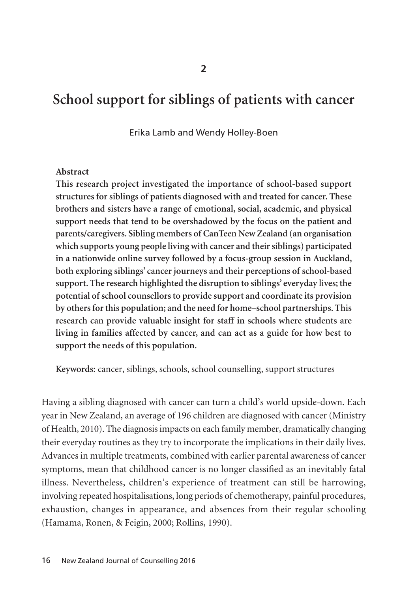# **School support for siblings of patients with cancer**

Erika Lamb and Wendy Holley-Boen

#### **Abstract**

**This research project investigated the importance of school-based support structures for siblings of patients diagnosed with and treated for cancer. These brothers and sisters have a range of emotional, social, academic, and physical support needs that tend to be overshadowed by the focus on the patient and parents/caregivers. Sibling members of CanTeen New Zealand (an organisation which supports young people living with cancer and their siblings) participated in a nationwide online survey followed by a focus-group session in Auckland, both exploring siblings' cancer journeys and their perceptions of school-based support. The research highlighted the disruption to siblings' everyday lives; the potential of school counsellors to provide support and coordinate its provision by others for this population; and the need for home–school partnerships. This research can provide valuable insight for staff in schools where students are living in families affected by cancer, and can act as a guide for how best to support the needs of this population.**

**Keywords:** cancer, siblings, schools, school counselling, support structures

Having a sibling diagnosed with cancer can turn a child's world upside-down. Each year in New Zealand, an average of 196 children are diagnosed with cancer (Ministry of Health, 2010). The diagnosis impacts on each family member, dramatically changing their everyday routines as they try to incorporate the implications in their daily lives. Advances in multiple treatments, combined with earlier parental awareness of cancer symptoms, mean that childhood cancer is no longer classified as an inevitably fatal illness. Nevertheless, children's experience of treatment can still be harrowing, involving repeated hospitalisations, long periods of chemotherapy, painful procedures, exhaustion, changes in appearance, and absences from their regular schooling (Hamama, Ronen, & Feigin, 2000; Rollins, 1990).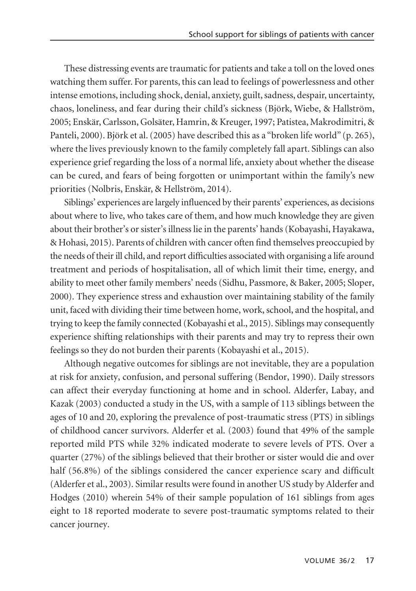These distressing events are traumatic for patients and take a toll on the loved ones watching them suffer. For parents, this can lead to feelings of powerlessness and other intense emotions, including shock, denial, anxiety, guilt, sadness, despair, uncertainty, chaos, loneliness, and fear during their child's sickness (Björk, Wiebe, & Hallström, 2005; Enskär, Carlsson, Golsäter, Hamrin, & Kreuger, 1997; Patistea, Makrodimitri, & Panteli, 2000). Björk et al. (2005) have described this as a "broken life world" (p. 265), where the lives previously known to the family completely fall apart. Siblings can also experience grief regarding the loss of a normal life, anxiety about whether the disease can be cured, and fears of being forgotten or unimportant within the family's new priorities (Nolbris, Enskär, & Hellström, 2014).

Siblings' experiences are largely influenced by their parents' experiences, as decisions about where to live, who takes care of them, and how much knowledge they are given about their brother's or sister's illness lie in the parents' hands (Kobayashi, Hayakawa, & Hohasi, 2015). Parents of children with cancer often find themselves preoccupied by the needs of their ill child, and report difficulties associated with organising a life around treatment and periods of hospitalisation, all of which limit their time, energy, and ability to meet other family members' needs (Sidhu, Passmore, & Baker, 2005; Sloper, 2000). They experience stress and exhaustion over maintaining stability of the family unit, faced with dividing their time between home, work, school, and the hospital, and trying to keep the family connected (Kobayashi et al., 2015). Siblings may consequently experience shifting relationships with their parents and may try to repress their own feelings so they do not burden their parents (Kobayashi et al., 2015).

Although negative outcomes for siblings are not inevitable, they are a population at risk for anxiety, confusion, and personal suffering (Bendor, 1990). Daily stressors can affect their everyday functioning at home and in school. Alderfer, Labay, and Kazak (2003) conducted a study in the US, with a sample of 113 siblings between the ages of 10 and 20, exploring the prevalence of post-traumatic stress (PTS) in siblings of childhood cancer survivors. Alderfer et al. (2003) found that 49% of the sample reported mild PTS while 32% indicated moderate to severe levels of PTS. Over a quarter (27%) of the siblings believed that their brother or sister would die and over half (56.8%) of the siblings considered the cancer experience scary and difficult (Alderfer et al., 2003). Similar results were found in another US study by Alderfer and Hodges (2010) wherein 54% of their sample population of 161 siblings from ages eight to 18 reported moderate to severe post-traumatic symptoms related to their cancer journey.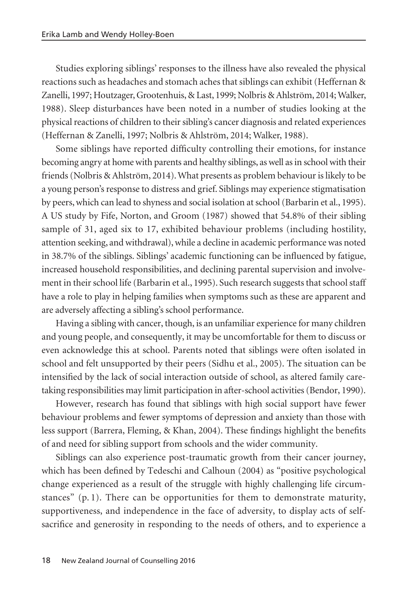Studies exploring siblings' responses to the illness have also revealed the physical reactions such as headaches and stomach aches that siblings can exhibit (Heffernan & Zanelli, 1997; Houtzager, Grootenhuis, & Last, 1999; Nolbris & Ahlström, 2014; Walker, 1988). Sleep disturbances have been noted in a number of studies looking at the physical reactions of children to their sibling's cancer diagnosis and related experiences (Heffernan & Zanelli, 1997; Nolbris & Ahlström, 2014; Walker, 1988).

Some siblings have reported difficulty controlling their emotions, for instance becoming angry at home with parents and healthy siblings, as well as in school with their friends (Nolbris & Ahlström, 2014). What presents as problem behaviour is likely to be a young person's response to distress and grief. Siblings may experience stigmatisation by peers, which can lead to shyness and social isolation at school (Barbarin et al., 1995). A US study by Fife, Norton, and Groom (1987) showed that 54.8% of their sibling sample of 31, aged six to 17, exhibited behaviour problems (including hostility, attention seeking, and withdrawal), while a decline in academic performance was noted in 38.7% of the siblings. Siblings' academic functioning can be influenced by fatigue, increased household responsibilities, and declining parental supervision and involvement in their school life (Barbarin et al., 1995). Such research suggests that school staff have a role to play in helping families when symptoms such as these are apparent and are adversely affecting a sibling's school performance.

Having a sibling with cancer, though, is an unfamiliar experience for many children and young people, and consequently, it may be uncomfortable for them to discuss or even acknowledge this at school. Parents noted that siblings were often isolated in school and felt unsupported by their peers (Sidhu et al., 2005). The situation can be intensified by the lack of social interaction outside of school, as altered family caretaking responsibilities may limit participation in after-school activities (Bendor, 1990).

However, research has found that siblings with high social support have fewer behaviour problems and fewer symptoms of depression and anxiety than those with less support (Barrera, Fleming, & Khan, 2004). These findings highlight the benefits of and need for sibling support from schools and the wider community.

Siblings can also experience post-traumatic growth from their cancer journey, which has been defined by Tedeschi and Calhoun (2004) as "positive psychological change experienced as a result of the struggle with highly challenging life circum stances" (p. 1). There can be opportunities for them to demonstrate maturity, supportiveness, and independence in the face of adversity, to display acts of selfsacrifice and generosity in responding to the needs of others, and to experience a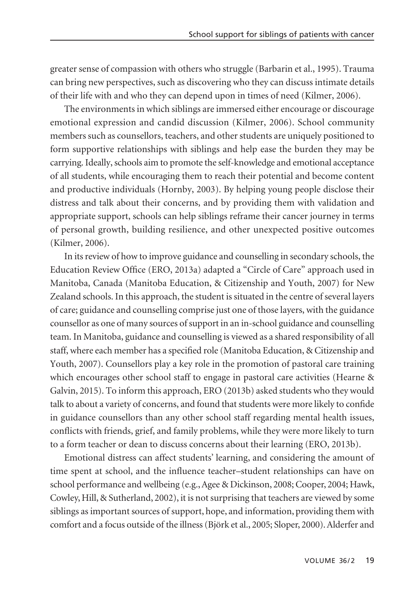greater sense of compassion with others who struggle (Barbarin et al., 1995). Trauma can bring new perspectives, such as discovering who they can discuss intimate details of their life with and who they can depend upon in times of need (Kilmer, 2006).

The environments in which siblings are immersed either encourage or discourage emotional expression and candid discussion (Kilmer, 2006). School community members such as counsellors, teachers, and other students are uniquely positioned to form supportive relationships with siblings and help ease the burden they may be carrying. Ideally, schools aim to promote the self-knowledge and emotional acceptance of all students, while encouraging them to reach their potential and become content and productive individuals (Hornby, 2003). By helping young people disclose their distress and talk about their concerns, and by providing them with validation and appropriate support, schools can help siblings reframe their cancer journey in terms of personal growth, building resilience, and other unexpected positive outcomes (Kilmer, 2006).

In its review of how to improve guidance and counselling in secondary schools, the Education Review Office (ERO, 2013a) adapted a "Circle of Care" approach used in Manitoba, Canada (Manitoba Education, & Citizenship and Youth, 2007) for New Zealand schools. In this approach, the student is situated in the centre of several layers of care; guidance and counselling comprise just one of those layers, with the guidance counsellor as one of many sources of support in an in-school guidance and counselling team. In Manitoba, guidance and counselling is viewed as a shared responsibility of all staff, where each member has a specified role (Manitoba Education, & Citizenship and Youth, 2007). Counsellors play a key role in the promotion of pastoral care training which encourages other school staff to engage in pastoral care activities (Hearne & Galvin, 2015). To inform this approach, ERO (2013b) asked students who they would talk to about a variety of concerns, and found that students were more likely to confide in guidance counsellors than any other school staff regarding mental health issues, conflicts with friends, grief, and family problems, while they were more likely to turn to a form teacher or dean to discuss concerns about their learning (ERO, 2013b).

Emotional distress can affect students' learning, and considering the amount of time spent at school, and the influence teacher–student relationships can have on school performance and wellbeing (e.g., Agee & Dickinson, 2008; Cooper, 2004; Hawk, Cowley, Hill, & Sutherland, 2002), it is not surprising that teachers are viewed by some siblings as important sources of support, hope, and information, providing them with comfort and a focus outside of the illness (Björk et al., 2005; Sloper, 2000). Alderfer and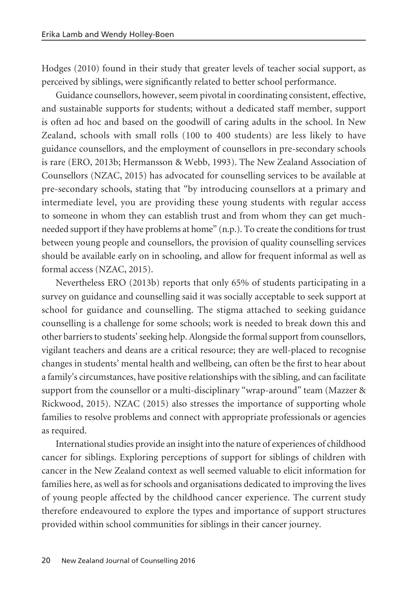Hodges (2010) found in their study that greater levels of teacher social support, as perceived by siblings, were significantly related to better school performance.

Guidance counsellors, however, seem pivotal in coordinating consistent, effective, and sustainable supports for students; without a dedicated staff member, support is often ad hoc and based on the goodwill of caring adults in the school. In New Zealand, schools with small rolls (100 to 400 students) are less likely to have guidance counsellors, and the employment of counsellors in pre-secondary schools is rare (ERO, 2013b; Hermansson & Webb, 1993). The New Zealand Association of Counsellors (NZAC, 2015) has advocated for counselling services to be available at pre-secondary schools, stating that "by introducing counsellors at a primary and intermediate level, you are providing these young students with regular access to someone in whom they can establish trust and from whom they can get muchneeded support if they have problems at home" (n.p.). To create the conditions for trust between young people and counsellors, the provision of quality counselling services should be available early on in schooling, and allow for frequent informal as well as formal access (NZAC, 2015).

Nevertheless ERO (2013b) reports that only 65% of students participating in a survey on guidance and counselling said it was socially acceptable to seek support at school for guidance and counselling. The stigma attached to seeking guidance counselling is a challenge for some schools; work is needed to break down this and other barriers to students' seeking help. Alongside the formal support from counsellors, vigilant teachers and deans are a critical resource; they are well-placed to recognise changes in students' mental health and wellbeing, can often be the first to hear about a family's circumstances, have positive relationships with the sibling, and can facilitate support from the counsellor or a multi-disciplinary "wrap-around" team (Mazzer & Rickwood, 2015). NZAC (2015) also stresses the importance of supporting whole families to resolve problems and connect with appropriate professionals or agencies as required.

International studies provide an insight into the nature of experiences of childhood cancer for siblings. Exploring perceptions of support for siblings of children with cancer in the New Zealand context as well seemed valuable to elicit information for families here, as well as for schools and organisations dedicated to improving the lives of young people affected by the childhood cancer experience. The current study therefore endeavoured to explore the types and importance of support structures provided within school communities for siblings in their cancer journey.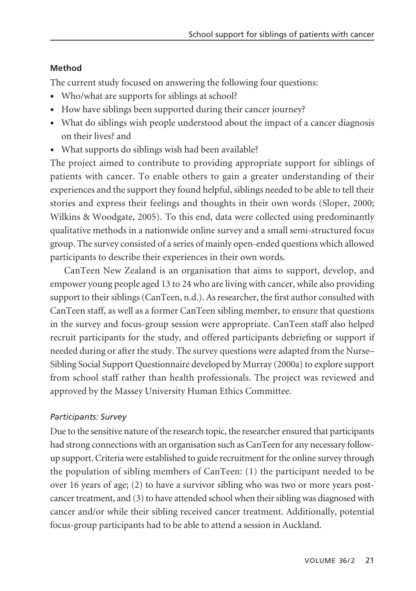#### **Method**

The current study focused on answering the following four questions:

- Who/what are supports for siblings at school?
- How have siblings been supported during their cancer journey?
- What do siblings wish people understood about the impact of a cancer diagnosis on their lives? and
- What supports do siblings wish had been available?

The project aimed to contribute to providing appropriate support for siblings of patients with cancer. To enable others to gain a greater understanding of their experiences and the support they found helpful, siblings needed to be able to tell their stories and express their feelings and thoughts in their own words (Sloper, 2000; Wilkins & Woodgate, 2005). To this end, data were collected using predominantly qualitative methods in a nationwide online survey and a small semi-structured focus group. The survey consisted of a series of mainly open-ended questions which allowed participants to describe their experiences in their own words.

CanTeen New Zealand is an organisation that aims to support, develop, and empower young people aged 13 to 24 who are living with cancer, while also providing support to their siblings (CanTeen, n.d.). As researcher, the first author consulted with CanTeen staff, as well as a former CanTeen sibling member, to ensure that questions in the survey and focus-group session were appropriate. CanTeen staff also helped recruit participants for the study, and offered participants debriefing or support if needed during or after the study. The survey questions were adapted from the Nurse– Sibling Social Support Questionnaire developed by Murray (2000a) to explore support from school staff rather than health professionals. The project was reviewed and approved by the Massey University Human Ethics Committee.

#### *Participants: Survey*

Due to the sensitive nature of the research topic, the researcher ensured that participants had strong connections with an organisation such as CanTeen for any necessary followup support. Criteria were established to guide recruitment for the online survey through the population of sibling members of CanTeen: (1) the participant needed to be over 16 years of age; (2) to have a survivor sibling who was two or more years postcancer treatment, and (3) to have attended school when their sibling was diagnosed with cancer and/or while their sibling received cancer treatment. Additionally, potential focus-group participants had to be able to attend a session in Auckland.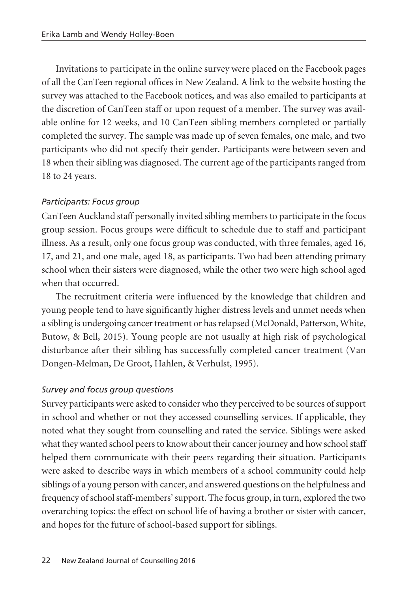Invitations to participate in the online survey were placed on the Facebook pages of all the CanTeen regional offices in New Zealand. A link to the website hosting the survey was attached to the Facebook notices, and was also emailed to participants at the discretion of CanTeen staff or upon request of a member. The survey was avail able online for 12 weeks, and 10 CanTeen sibling members completed or partially completed the survey. The sample was made up of seven females, one male, and two participants who did not specify their gender. Participants were between seven and 18 when their sibling was diagnosed. The current age of the participants ranged from 18 to 24 years.

# *Participants: Focus group*

CanTeen Auckland staff personally invited sibling members to participate in the focus group session. Focus groups were difficult to schedule due to staff and participant illness. As a result, only one focus group was conducted, with three females, aged 16, 17, and 21, and one male, aged 18, as participants. Two had been attending primary school when their sisters were diagnosed, while the other two were high school aged when that occurred.

The recruitment criteria were influenced by the knowledge that children and young people tend to have significantly higher distress levels and unmet needs when a sibling is undergoing cancer treatment or has relapsed (McDonald, Patterson, White, Butow, & Bell, 2015). Young people are not usually at high risk of psychological disturbance after their sibling has successfully completed cancer treatment (Van Dongen-Melman, De Groot, Hahlen, & Verhulst, 1995).

# *Survey and focus group questions*

Survey participants were asked to consider who they perceived to be sources of support in school and whether or not they accessed counselling services. If applicable, they noted what they sought from counselling and rated the service. Siblings were asked what they wanted school peers to know about their cancer journey and how school staff helped them communicate with their peers regarding their situation. Participants were asked to describe ways in which members of a school community could help siblings of a young person with cancer, and answered questions on the helpfulness and frequency of school staff-members' support. The focus group, in turn, explored the two overarching topics: the effect on school life of having a brother or sister with cancer, and hopes for the future of school-based support for siblings.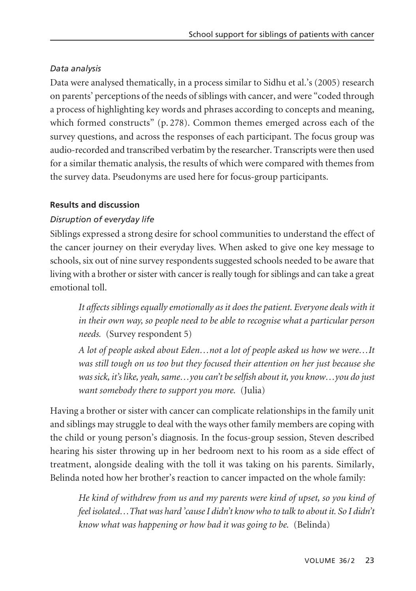# *Data analysis*

Data were analysed thematically, in a process similar to Sidhu et al.'s (2005) research on parents' perceptions of the needs of siblings with cancer, and were "coded through a process of highlighting key words and phrases according to concepts and meaning, which formed constructs" (p. 278). Common themes emerged across each of the survey questions, and across the responses of each participant. The focus group was audio-recorded and transcribed verbatim by the researcher. Transcripts were then used for a similar thematic analysis, the results of which were compared with themes from the survey data. Pseudonyms are used here for focus-group participants.

#### **Results and discussion**

# *Disruption of everyday life*

Siblings expressed a strong desire for school communities to understand the effect of the cancer journey on their everyday lives. When asked to give one key message to schools, six out of nine survey respondents suggested schools needed to be aware that living with a brother or sister with cancer is really tough for siblings and can take a great emotional toll.

*It affects siblings equally emotionally as it does the patient. Everyone deals with it in their own way, so people need to be able to recognise what a particular person needs.* (Survey respondent 5)

*A lot of people asked about Eden…not a lot of people asked us how we were…It was still tough on us too but they focused their attention on her just because she was sick, it's like, yeah, same…you can't be selfish about it, you know…you do just want somebody there to support you more.* (Julia)

Having a brother or sister with cancer can complicate relationships in the family unit and siblings may struggle to deal with the ways other family members are coping with the child or young person's diagnosis. In the focus-group session, Steven described hearing his sister throwing up in her bedroom next to his room as a side effect of treatment, alongside dealing with the toll it was taking on his parents. Similarly, Belinda noted how her brother's reaction to cancer impacted on the whole family:

*He kind of withdrew from us and my parents were kind of upset, so you kind of feel isolated…That was hard 'cause I didn't know who to talk to about it. So I didn't know what was happening or how bad it was going to be.* (Belinda)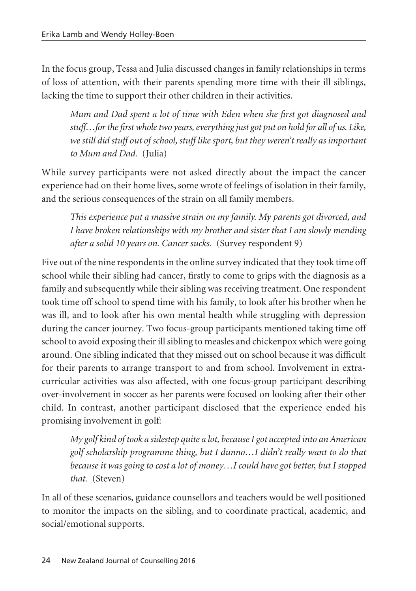In the focus group, Tessa and Julia discussed changes in family relationships in terms of loss of attention, with their parents spending more time with their ill siblings, lacking the time to support their other children in their activities.

*Mum and Dad spent a lot of time with Eden when she first got diagnosed and stuff…for the first whole two years, everything just got put on hold for all of us. Like, we still did stuff out of school, stuff like sport, but they weren't really as important to Mum and Dad.* (Julia)

While survey participants were not asked directly about the impact the cancer experience had on their home lives, some wrote of feelings of isolation in their family, and the serious consequences of the strain on all family members.

*This experience put a massive strain on my family. My parents got divorced, and I have broken relationships with my brother and sister that I am slowly mending after a solid 10 years on. Cancer sucks.* (Survey respondent 9)

Five out of the nine respondents in the online survey indicated that they took time off school while their sibling had cancer, firstly to come to grips with the diagnosis as a family and subsequently while their sibling was receiving treatment. One respondent took time off school to spend time with his family, to look after his brother when he was ill, and to look after his own mental health while struggling with depression during the cancer journey. Two focus-group participants mentioned taking time off school to avoid exposing their ill sibling to measles and chickenpox which were going around. One sibling indicated that they missed out on school because it was difficult for their parents to arrange transport to and from school. Involvement in extracurricular activities was also affected, with one focus-group participant describing over-involvement in soccer as her parents were focused on looking after their other child. In contrast, another participant disclosed that the experience ended his promising involvement in golf:

*My golf kind of took a sidestep quite a lot, because I got accepted into an American golf scholarship programme thing, but I dunno…I didn't really want to do that because it was going to cost a lot of money…I could have got better, but I stopped that.* (Steven)

In all of these scenarios, guidance counsellors and teachers would be well positioned to monitor the impacts on the sibling, and to coordinate practical, academic, and social/emotional supports.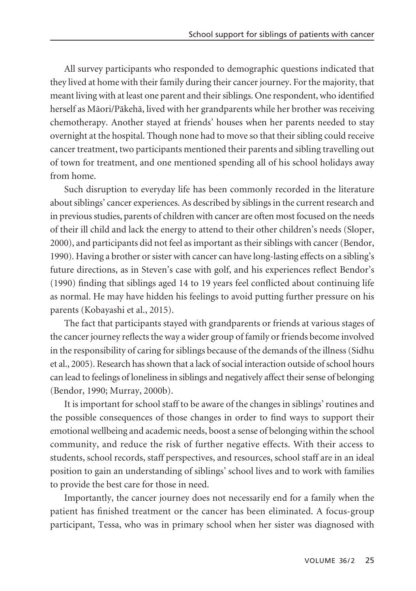All survey participants who responded to demographic questions indicated that they lived at home with their family during their cancer journey. For the majority, that meant living with at least one parent and their siblings. One respondent, who identified herself as Mäori/Päkehä, lived with her grandparents while her brother was receiving chemotherapy. Another stayed at friends' houses when her parents needed to stay overnight at the hospital. Though none had to move so that their sibling could receive cancer treatment, two participants mentioned their parents and sibling travelling out of town for treatment, and one mentioned spending all of his school holidays away from home.

Such disruption to everyday life has been commonly recorded in the literature about siblings' cancer experiences. As described by siblings in the current research and in previous studies, parents of children with cancer are often most focused on the needs of their ill child and lack the energy to attend to their other children's needs (Sloper, 2000), and participants did not feel as important as their siblings with cancer (Bendor, 1990). Having a brother or sister with cancer can have long-lasting effects on a sibling's future directions, as in Steven's case with golf, and his experiences reflect Bendor's (1990) finding that siblings aged 14 to 19 years feel conflicted about continuing life as normal. He may have hidden his feelings to avoid putting further pressure on his parents (Kobayashi et al., 2015).

The fact that participants stayed with grandparents or friends at various stages of the cancer journey reflects the way a wider group of family or friends become involved in the responsibility of caring for siblings because of the demands of the illness (Sidhu et al., 2005). Research has shown that a lack of social interaction outside of school hours can lead to feelings of loneliness in siblings and negatively affect their sense of belonging (Bendor, 1990; Murray, 2000b).

It is important for school staff to be aware of the changes in siblings' routines and the possible consequences of those changes in order to find ways to support their emotional wellbeing and academic needs, boost a sense of belonging within the school community, and reduce the risk of further negative effects. With their access to students, school records, staff perspectives, and resources, school staff are in an ideal position to gain an understanding of siblings' school lives and to work with families to provide the best care for those in need.

Importantly, the cancer journey does not necessarily end for a family when the patient has finished treatment or the cancer has been eliminated. A focus-group participant, Tessa, who was in primary school when her sister was diagnosed with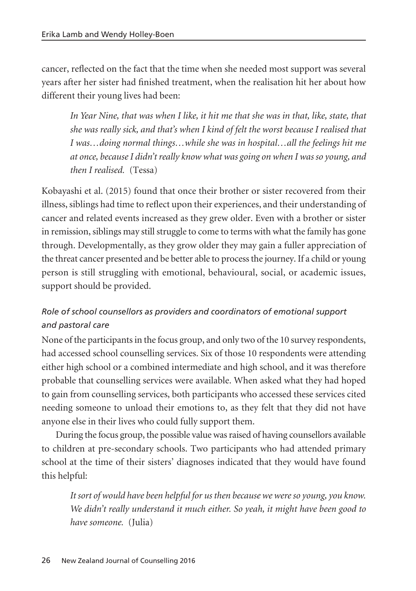cancer, reflected on the fact that the time when she needed most support was several years after her sister had finished treatment, when the realisation hit her about how different their young lives had been:

*In Year Nine, that was when I like, it hit me that she was in that, like, state, that she was really sick, and that's when I kind of felt the worst because I realised that I was…doing normal things…while she was in hospital…all the feelings hit me at once, because I didn't really know what was going on when I was so young, and then I realised.* (Tessa)

Kobayashi et al. (2015) found that once their brother or sister recovered from their illness, siblings had time to reflect upon their experiences, and their understanding of cancer and related events increased as they grew older. Even with a brother or sister in remission, siblings may still struggle to come to terms with what the family has gone through. Developmentally, as they grow older they may gain a fuller appreciation of the threat cancer presented and be better able to process the journey. If a child or young person is still struggling with emotional, behavioural, social, or academic issues, support should be provided.

# *Role of school counsellors as providers and coordinators of emotional support and pastoral care*

None of the participants in the focus group, and only two of the 10 survey respondents, had accessed school counselling services. Six of those 10 respondents were attending either high school or a combined intermediate and high school, and it was therefore probable that counselling services were available. When asked what they had hoped to gain from counselling services, both participants who accessed these services cited needing someone to unload their emotions to, as they felt that they did not have anyone else in their lives who could fully support them.

During the focus group, the possible value was raised of having counsellors available to children at pre-secondary schools. Two participants who had attended primary school at the time of their sisters' diagnoses indicated that they would have found this helpful:

*It sort of would have been helpful for us then because we were so young, you know. We didn't really understand it much either. So yeah, it might have been good to have someone.* (Julia)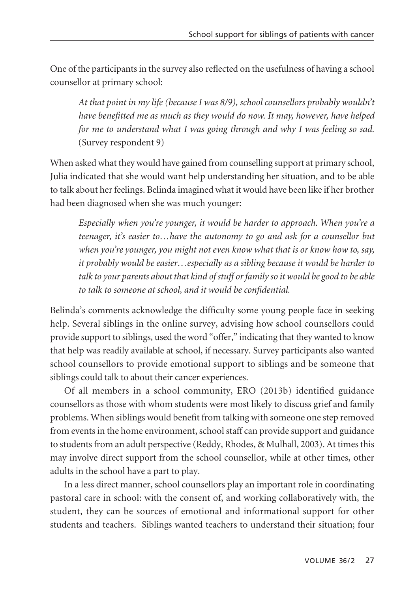One of the participants in the survey also reflected on the usefulness of having a school counsellor at primary school:

*At that point in my life (because I was 8/9), school counsellors probably wouldn't have benefitted me as much as they would do now. It may, however, have helped for me to understand what I was going through and why I was feeling so sad.* (Survey respondent 9)

When asked what they would have gained from counselling support at primary school, Julia indicated that she would want help understanding her situation, and to be able to talk about her feelings. Belinda imagined what it would have been like if her brother had been diagnosed when she was much younger:

*Especially when you're younger, it would be harder to approach. When you're a teenager, it's easier to…have the autonomy to go and ask for a counsellor but when you're younger, you might not even know what that is or know how to, say, it probably would be easier…especially as a sibling because it would be harder to talk to your parents about that kind of stuff or family so it would be good to be able to talk to someone at school, and it would be confidential.* 

Belinda's comments acknowledge the difficulty some young people face in seeking help. Several siblings in the online survey, advising how school counsellors could provide support to siblings, used the word "offer," indicating that they wanted to know that help was readily available at school, if necessary. Survey participants also wanted school counsellors to provide emotional support to siblings and be someone that siblings could talk to about their cancer experiences.

Of all members in a school community, ERO (2013b) identified guidance counsellors as those with whom students were most likely to discuss grief and family problems. When siblings would benefit from talking with someone one step removed from events in the home environment, school staff can provide support and guidance to students from an adult perspective (Reddy, Rhodes, & Mulhall, 2003). At times this may involve direct support from the school counsellor, while at other times, other adults in the school have a part to play.

In a less direct manner, school counsellors play an important role in coordinating pastoral care in school: with the consent of, and working collaboratively with, the student, they can be sources of emotional and informational support for other students and teachers. Siblings wanted teachers to understand their situation; four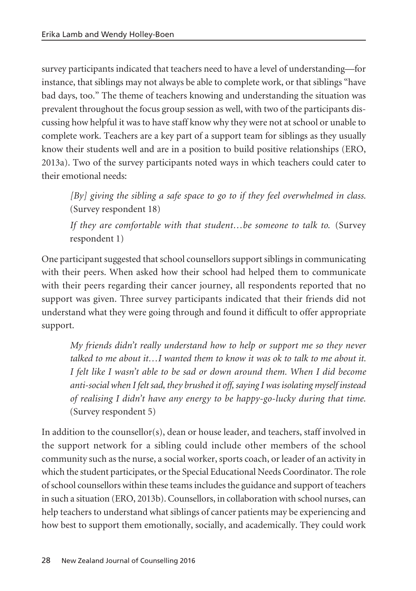survey participants indicated that teachers need to have a level of understanding—for instance, that siblings may not always be able to complete work, or that siblings "have bad days, too." The theme of teachers knowing and understanding the situation was prevalent throughout the focus group session as well, with two of the participants discussing how helpful it was to have staff know why they were not at school or unable to complete work. Teachers are a key part of a support team for siblings as they usually know their students well and are in a position to build positive relationships (ERO, 2013a). Two of the survey participants noted ways in which teachers could cater to their emotional needs:

*[By] giving the sibling a safe space to go to if they feel overwhelmed in class.* (Survey respondent 18)

*If they are comfortable with that student…be someone to talk to.* (Survey respondent 1)

One participant suggested that school counsellors support siblings in communicating with their peers. When asked how their school had helped them to communicate with their peers regarding their cancer journey, all respondents reported that no support was given. Three survey participants indicated that their friends did not understand what they were going through and found it difficult to offer appropriate support.

*My friends didn't really understand how to help or support me so they never talked to me about it…I wanted them to know it was ok to talk to me about it. I felt like I wasn't able to be sad or down around them. When I did become anti-social when I felt sad, they brushed it off, saying I was isolating myself instead of realising I didn't have any energy to be happy-go-lucky during that time.* (Survey respondent 5)

In addition to the counsellor(s), dean or house leader, and teachers, staff involved in the support network for a sibling could include other members of the school community such as the nurse, a social worker, sports coach, or leader of an activity in which the student participates, or the Special Educational Needs Coordinator. The role of school counsellors within these teams includes the guidance and support of teachers in such a situation (ERO, 2013b). Counsellors, in collaboration with school nurses, can help teachers to understand what siblings of cancer patients may be experiencing and how best to support them emotionally, socially, and academically. They could work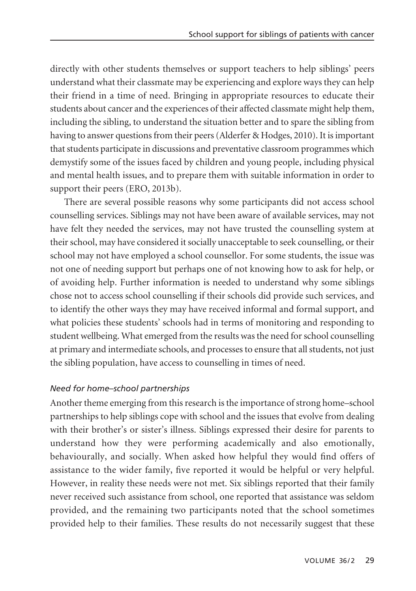directly with other students themselves or support teachers to help siblings' peers understand what their classmate may be experiencing and explore ways they can help their friend in a time of need. Bringing in appropriate resources to educate their students about cancer and the experiences of their affected classmate might help them, including the sibling, to understand the situation better and to spare the sibling from having to answer questions from their peers (Alderfer & Hodges, 2010). It is important that students participate in discussions and preventative classroom programmes which demystify some of the issues faced by children and young people, including physical and mental health issues, and to prepare them with suitable information in order to support their peers (ERO, 2013b).

There are several possible reasons why some participants did not access school counselling services. Siblings may not have been aware of available services, may not have felt they needed the services, may not have trusted the counselling system at their school, may have considered it socially unacceptable to seek counselling, or their school may not have employed a school counsellor. For some students, the issue was not one of needing support but perhaps one of not knowing how to ask for help, or of avoiding help. Further information is needed to understand why some siblings chose not to access school counselling if their schools did provide such services, and to identify the other ways they may have received informal and formal support, and what policies these students' schools had in terms of monitoring and responding to student wellbeing. What emerged from the results was the need for school counselling at primary and intermediate schools, and processes to ensure that all students, not just the sibling population, have access to counselling in times of need.

# *Need for home–school partnerships*

Another theme emerging from this research is the importance of strong home–school partnerships to help siblings cope with school and the issues that evolve from dealing with their brother's or sister's illness. Siblings expressed their desire for parents to understand how they were performing academically and also emotionally, behaviourally, and socially. When asked how helpful they would find offers of assistance to the wider family, five reported it would be helpful or very helpful. However, in reality these needs were not met. Six siblings reported that their family never received such assistance from school, one reported that assistance was seldom provided, and the remaining two participants noted that the school sometimes provided help to their families. These results do not necessarily suggest that these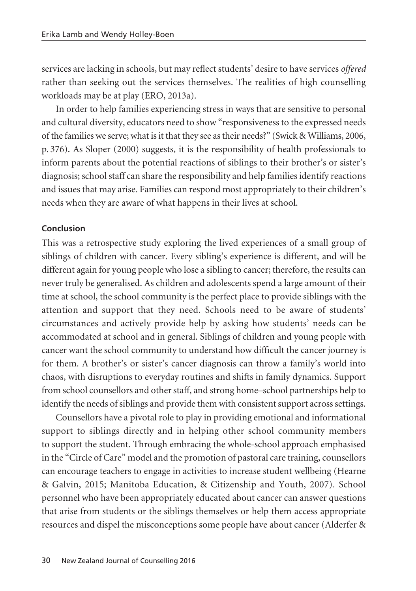services are lacking in schools, but may reflect students' desire to have services *offered* rather than seeking out the services themselves. The realities of high counselling workloads may be at play (ERO, 2013a).

In order to help families experiencing stress in ways that are sensitive to personal and cultural diversity, educators need to show "responsiveness to the expressed needs of the families we serve; what is it that they see as their needs?" (Swick & Williams, 2006, p. 376). As Sloper (2000) suggests, it is the responsibility of health professionals to inform parents about the potential reactions of siblings to their brother's or sister's diagnosis; school staff can share the responsibility and help families identify reactions and issues that may arise. Families can respond most appropriately to their children's needs when they are aware of what happens in their lives at school.

#### **Conclusion**

This was a retrospective study exploring the lived experiences of a small group of siblings of children with cancer. Every sibling's experience is different, and will be different again for young people who lose a sibling to cancer; therefore, the results can never truly be generalised. As children and adolescents spend a large amount of their time at school, the school community is the perfect place to provide siblings with the attention and support that they need. Schools need to be aware of students' circumstances and actively provide help by asking how students' needs can be accommodated at school and in general. Siblings of children and young people with cancer want the school community to understand how difficult the cancer journey is for them. A brother's or sister's cancer diagnosis can throw a family's world into chaos, with disruptions to everyday routines and shifts in family dynamics. Support from school counsellors and other staff, and strong home–school partnerships help to identify the needs of siblings and provide them with consistent support across settings.

Counsellors have a pivotal role to play in providing emotional and informational support to siblings directly and in helping other school community members to support the student. Through embracing the whole-school approach emphasised in the "Circle of Care" model and the promotion of pastoral care training, counsellors can encourage teachers to engage in activities to increase student wellbeing (Hearne & Galvin, 2015; Manitoba Education, & Citizenship and Youth, 2007). School personnel who have been appropriately educated about cancer can answer questions that arise from students or the siblings themselves or help them access appropriate resources and dispel the misconceptions some people have about cancer (Alderfer &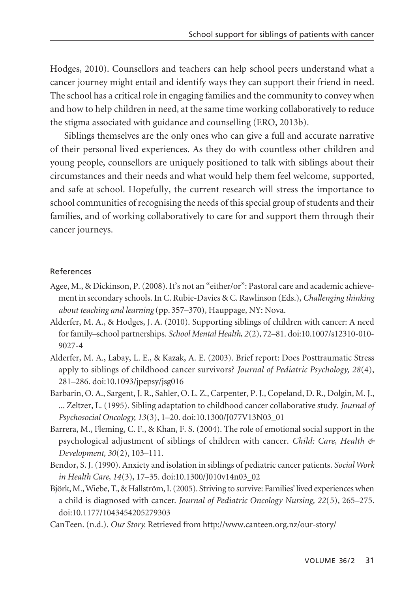Hodges, 2010). Counsellors and teachers can help school peers understand what a cancer journey might entail and identify ways they can support their friend in need. The school has a critical role in engaging families and the community to convey when and how to help children in need, at the same time working collaboratively to reduce the stigma associated with guidance and counselling (ERO, 2013b).

Siblings themselves are the only ones who can give a full and accurate narrative of their personal lived experiences. As they do with countless other children and young people, counsellors are uniquely positioned to talk with siblings about their circumstances and their needs and what would help them feel welcome, supported, and safe at school. Hopefully, the current research will stress the importance to school communities of recognising the needs of this special group of students and their families, and of working collaboratively to care for and support them through their cancer journeys.

#### References

- Agee, M., & Dickinson, P. (2008). It's not an "either/or": Pastoral care and academic achievement in secondary schools. In C. Rubie-Davies & C. Rawlinson (Eds.), *Challenging thinking about teaching and learning* (pp. 357–370), Hauppage, NY: Nova.
- Alderfer, M. A., & Hodges, J. A. (2010). Supporting siblings of children with cancer: A need for family–school partnerships. *School Mental Health, 2*(2), 72–81. doi:10.1007/s12310-010- 9027-4
- Alderfer, M. A., Labay, L. E., & Kazak, A. E. (2003). Brief report: Does Posttraumatic Stress apply to siblings of childhood cancer survivors? *Journal of Pediatric Psychology, 28*(4), 281–286. doi:10.1093/jpepsy/jsg016
- Barbarin, O. A., Sargent, J. R., Sahler, O. L. Z., Carpenter, P. J., Copeland, D. R., Dolgin, M. J., ... Zeltzer, L. (1995). Sibling adaptation to childhood cancer collaborative study. *Journal of Psychosocial Oncology, 13*(3), 1–20. doi:10.1300/J077V13N03\_01
- Barrera, M., Fleming, C. F., & Khan, F. S. (2004). The role of emotional social support in the psychological adjustment of siblings of children with cancer. *Child: Care, Health & Development, 30*(2), 103–111.
- Bendor, S. J. (1990). Anxiety and isolation in siblings of pediatric cancer patients. *Social Work in Health Care, 14*(3), 17–35. doi:10.1300/J010v14n03\_02
- Björk, M., Wiebe, T., & Hallström, I. (2005). Striving to survive: Families' lived experiences when a child is diagnosed with cancer. *Journal of Pediatric Oncology Nursing, 22*(5), 265–275. doi:10.1177/1043454205279303
- CanTeen. (n.d.). *Our Story.* Retrieved from http://www.canteen.org.nz/our-story/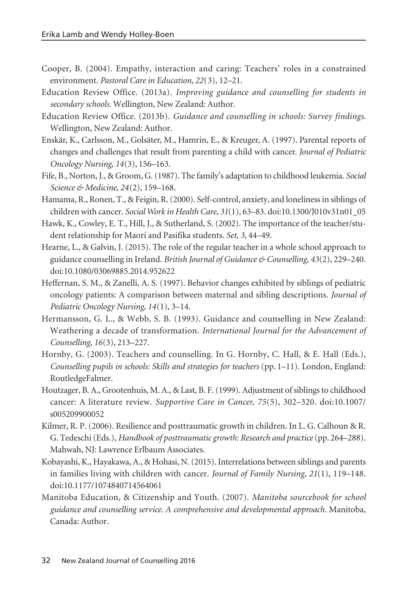- Cooper, B. (2004). Empathy, interaction and caring: Teachers' roles in a constrained environment. *Pastoral Care in Education, 22*(3), 12–21.
- Education Review Office. (2013a). *Improving guidance and counselling for students in secondary schools*. Wellington, New Zealand: Author.
- Education Review Office. (2013b). *Guidance and counselling in schools: Survey findings*. Wellington, New Zealand: Author.
- Enskär, K., Carlsson, M., Golsäter, M., Hamrin, E., & Kreuger, A. (1997). Parental reports of changes and challenges that result from parenting a child with cancer. *Journal of Pediatric Oncology Nursing, 14*(3), 156–163.
- Fife, B., Norton, J., & Groom, G. (1987). The family's adaptation to childhood leukemia. *Social Science & Medicine, 24*(2), 159–168.
- Hamama, R., Ronen, T., & Feigin, R. (2000). Self-control, anxiety, and loneliness in siblings of children with cancer. *Social Work in Health Care, 31*(1), 63–83. doi:10.1300/J010v31n01\_05
- Hawk, K., Cowley, E. T., Hill, J., & Sutherland, S. (2002). The importance of the teacher/student relationship for Maori and Pasifika students. *Set, 3*, 44–49.
- Hearne, L., & Galvin, J. (2015). The role of the regular teacher in a whole school approach to guidance counselling in Ireland. *British Journal of Guidance & Counselling, 43*(2), 229–240. doi:10.1080/03069885.2014.952622
- Heffernan, S. M., & Zanelli, A. S. (1997). Behavior changes exhibited by siblings of pediatric oncology patients: A comparison between maternal and sibling descriptions. *Journal of Pediatric Oncology Nursing, 14*(1), 3–14.
- Hermansson, G. L., & Webb, S. B. (1993). Guidance and counselling in New Zealand: Weathering a decade of transformation. *International Journal for the Advancement of Counselling, 16*(3), 213–227.
- Hornby, G. (2003). Teachers and counselling. In G. Hornby, C. Hall, & E. Hall (Eds.), *Counselling pupils in schools: Skills and strategies for teachers* (pp. 1–11). London, England: RoutledgeFalmer.
- Houtzager, B. A., Grootenhuis, M. A., & Last, B. F. (1999). Adjustment of siblings to childhood cancer: A literature review. *Supportive Care in Cancer, 75*(5), 302–320. doi:10.1007/ s005209900052
- Kilmer, R. P. (2006). Resilience and posttraumatic growth in children. In L. G. Calhoun & R. G. Tedeschi (Eds.), *Handbook of posttraumatic growth: Research and practice*(pp. 264–288). Mahwah, NJ: Lawrence Erlbaum Associates.
- Kobayashi, K., Hayakawa, A., & Hohasi, N. (2015). Interrelations between siblings and parents in families living with children with cancer. *Journal of Family Nursing, 21*(1), 119–148. doi:10.1177/1074840714564061
- Manitoba Education, & Citizenship and Youth. (2007). *Manitoba sourcebook for school guidance and counselling service. A comprehensive and developmental approach.* Manitoba, Canada: Author.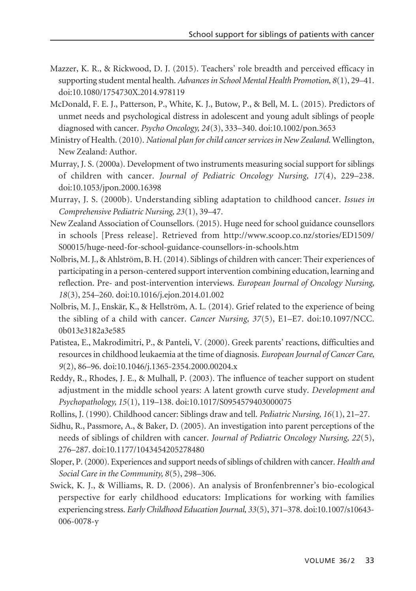- Mazzer, K. R., & Rickwood, D. J. (2015). Teachers' role breadth and perceived efficacy in supporting student mental health. *Advances in School Mental Health Promotion, 8*(1), 29–41. doi:10.1080/1754730X.2014.978119
- McDonald, F. E. J., Patterson, P., White, K. J., Butow, P., & Bell, M. L. (2015). Predictors of unmet needs and psychological distress in adolescent and young adult siblings of people diagnosed with cancer. *Psycho Oncology, 24*(3), 333–340. doi:10.1002/pon.3653
- Ministry of Health. (2010). *National plan for child cancer services in New Zealand*. Wellington, New Zealand: Author.
- Murray, J. S. (2000a). Development of two instruments measuring social support for siblings of children with cancer. *Journal of Pediatric Oncology Nursing, 17*(4), 229–238. doi:10.1053/jpon.2000.16398
- Murray, J. S. (2000b). Understanding sibling adaptation to childhood cancer. *Issues in Comprehensive Pediatric Nursing, 23*(1), 39–47.
- New Zealand Association of Counsellors. (2015). Huge need for school guidance counsellors in schools [Press release]. Retrieved from http://www.scoop.co.nz/stories/ED1509/ S00015/huge-need-for-school-guidance-counsellors-in-schools.htm
- Nolbris, M. J., & Ahlström, B. H. (2014). Siblings of children with cancer: Their experiences of participating in a person-centered support intervention combining education, learning and reflection. Pre- and post-intervention interviews. *European Journal of Oncology Nursing, 18*(3), 254–260. doi:10.1016/j.ejon.2014.01.002
- Nolbris, M. J., Enskär, K., & Hellström, A. L. (2014). Grief related to the experience of being the sibling of a child with cancer. *Cancer Nursing, 37*(5), E1–E7. doi:10.1097/NCC. 0b013e3182a3e585
- Patistea, E., Makrodimitri, P., & Panteli, V. (2000). Greek parents' reactions, difficulties and resources in childhood leukaemia at the time of diagnosis. *European Journal of Cancer Care, 9*(2), 86–96. doi:10.1046/j.1365-2354.2000.00204.x
- Reddy, R., Rhodes, J. E., & Mulhall, P. (2003). The influence of teacher support on student adjustment in the middle school years: A latent growth curve study. *Development and Psychopathology, 15*(1), 119–138. doi:10.1017/S0954579403000075
- Rollins, J. (1990). Childhood cancer: Siblings draw and tell. *Pediatric Nursing, 16*(1), 21–27.
- Sidhu, R., Passmore, A., & Baker, D. (2005). An investigation into parent perceptions of the needs of siblings of children with cancer. *Journal of Pediatric Oncology Nursing, 22*(5), 276–287. doi:10.1177/1043454205278480
- Sloper, P. (2000). Experiences and support needs of siblings of children with cancer. *Health and Social Care in the Community, 8*(5), 298–306.
- Swick, K. J., & Williams, R. D. (2006). An analysis of Bronfenbrenner's bio-ecological perspective for early childhood educators: Implications for working with families experiencing stress. *Early Childhood Education Journal, 33*(5), 371–378. doi:10.1007/s10643- 006-0078-y